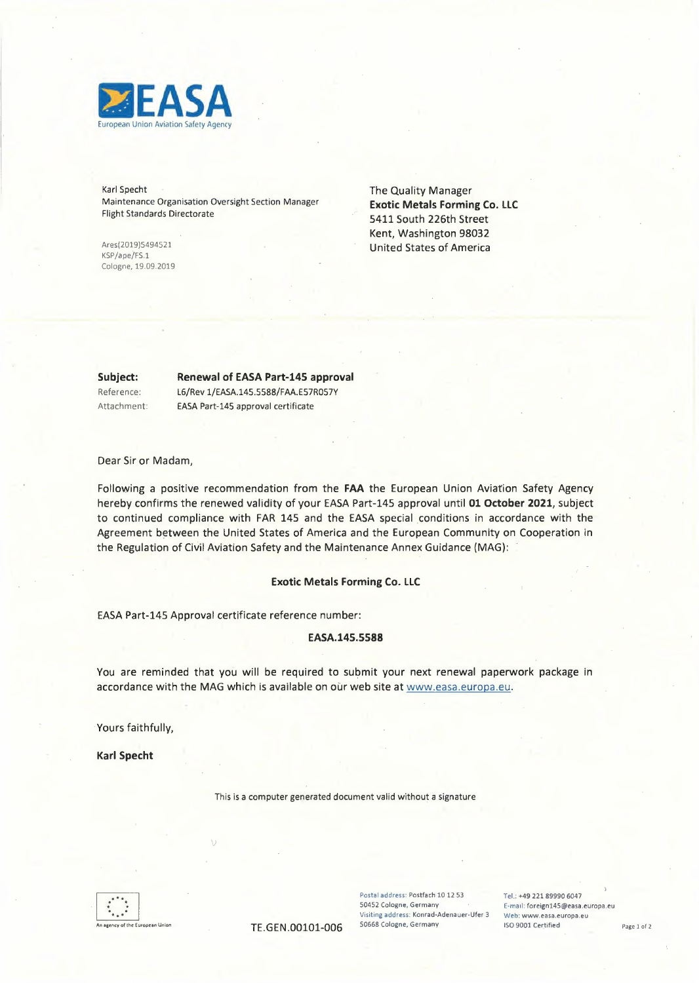

Karl Specht Maintenance Organisation Oversight Section Manager Flight Standards Directorate

Ares(2019)5494521 KSP/ape/FS.1 Cologne, 19.09.2019 The Quality Manager **Exotic Metals Forming Co. LLC**  5411 South 226th Street Kent, Washington 98032 United States of America

**Subject:**  Reference:

Attachment:

**Renewal of** EASA Part-145 approval L6/Rev 1/EASA.145.5588/FAA.E57R057Y EASA Part-145 approval certificate

Dear Sir or Madam,

Following a positive recommendation from the **FAA** the European Union Aviation Safety Agency hereby confirms the renewed validity of your EASA Part-145 approval until **01 October 2021,** subject to continued compliance with FAR 145 and the EASA special conditions in accordance with the Agreement between the United States of America and the European Community on Cooperation in the Regulation of Civil Aviation Safety and the Maintenance Annex Guidance (MAG):

### **Exotic Metals Forming Co. LLC**

EASA Part-145 Approval certificate reference number:

V

#### **EASA.145.5588**

You are reminded that you will be required to submit your next renewal paperwork package in accordance with the MAG which is available on our web site at www.easa.europa.eu.

Yours faithfully,

**Karl Specht** 

This is a computer generated document valid without a signature

 $\begin{array}{|c|c|} \hline & \bullet & \bullet \\ \hline \bullet & \bullet & \bullet \\ \hline \bullet & \bullet & \bullet \end{array}$ . . An agency of the European Union

Postal address: Postfach 10 12 53 Tel.: +49 221 89990 6047<br>1945 Cologne, Germany Fermal: foreign145@easa. **Visiting address: Konrad-Adenauer-Ufer 3 <br>50668 Cologne, Germany 150 9001 Certified** 

E-mail: foreign145@easa.europa.eu<br>Web: www.easa.europa.eu TE.GEN.00101-006 50668 Cologne, Germany ISO 9001 Certified Page 1 of 2